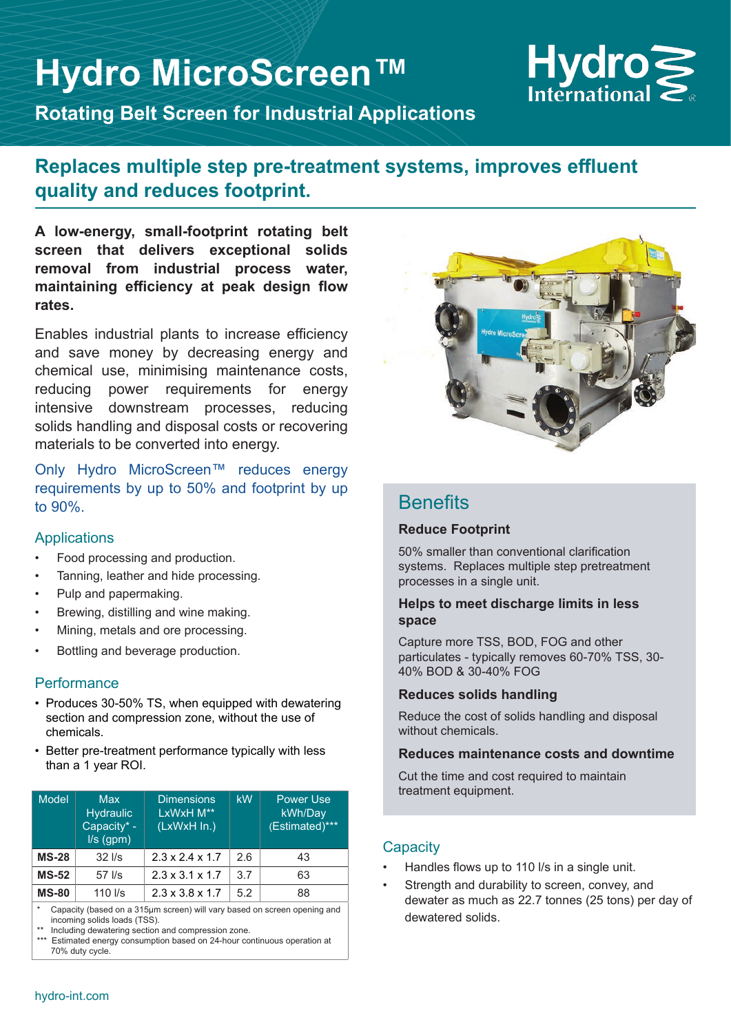# **Hydro MicroScreen™**



**Rotating Belt Screen for Industrial Applications**

# **Replaces multiple step pre-treatment systems, improves effluent quality and reduces footprint.**

**A low-energy, small-footprint rotating belt screen that delivers exceptional solids removal from industrial process water, maintaining efficiency at peak design flow rates.** 

Enables industrial plants to increase efficiency and save money by decreasing energy and chemical use, minimising maintenance costs, reducing power requirements for energy intensive downstream processes, reducing solids handling and disposal costs or recovering materials to be converted into energy.

Only Hydro MicroScreen™ reduces energy requirements by up to 50% and footprint by up to 90%.

### **Applications**

- Food processing and production.
- Tanning, leather and hide processing.
- Pulp and papermaking.
- Brewing, distilling and wine making.
- Mining, metals and ore processing.
- Bottling and beverage production.

### **Performance**

- Produces 30-50% TS, when equipped with dewatering section and compression zone, without the use of chemicals.
- Better pre-treatment performance typically with less than a 1 year ROI.

| <b>Model</b> | <b>Max</b><br><b>Hydraulic</b><br>Capacity* -<br>$I/s$ (gpm) | <b>Dimensions</b><br>LxWxH M**<br>(LxWxH In.) | kW  | <b>Power Use</b><br>kWh/Day<br>(Estimated)*** |
|--------------|--------------------------------------------------------------|-----------------------------------------------|-----|-----------------------------------------------|
| <b>MS-28</b> | $32$ $\text{I/s}$                                            | $2.3 \times 2.4 \times 1.7$                   | 2.6 | 43                                            |
| <b>MS-52</b> | $57$ $\text{I/s}$                                            | $2.3 \times 3.1 \times 1.7$                   | 3.7 | 63                                            |
| <b>MS-80</b> | $110$ $\text{I/s}$                                           | $2.3 \times 3.8 \times 1.7$                   | 5.2 | 88                                            |

Capacity (based on a 315µm screen) will vary based on screen opening and incoming solids loads (TSS).

Including dewatering section and compression zone.

Estimated energy consumption based on 24-hour continuous operation at 70% duty cycle.



# **Benefits**

### **Reduce Footprint**

50% smaller than conventional clarification systems. Replaces multiple step pretreatment processes in a single unit.

#### **Helps to meet discharge limits in less space**

Capture more TSS, BOD, FOG and other particulates - typically removes 60-70% TSS, 30- 40% BOD & 30-40% FOG

#### **Reduces solids handling**

Reduce the cost of solids handling and disposal without chemicals.

#### **Reduces maintenance costs and downtime**

Cut the time and cost required to maintain treatment equipment.

### **Capacity**

- Handles flows up to 110 l/s in a single unit.
- Strength and durability to screen, convey, and dewater as much as 22.7 tonnes (25 tons) per day of dewatered solids.